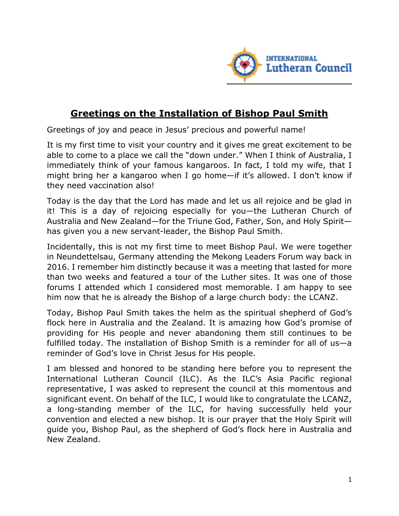

## **Greetings on the Installation of Bishop Paul Smith**

Greetings of joy and peace in Jesus' precious and powerful name!

It is my first time to visit your country and it gives me great excitement to be able to come to a place we call the "down under." When I think of Australia, I immediately think of your famous kangaroos. In fact, I told my wife, that I might bring her a kangaroo when I go home—if it's allowed. I don't know if they need vaccination also!

Today is the day that the Lord has made and let us all rejoice and be glad in it! This is a day of rejoicing especially for you—the Lutheran Church of Australia and New Zealand—for the Triune God, Father, Son, and Holy Spirit has given you a new servant-leader, the Bishop Paul Smith.

Incidentally, this is not my first time to meet Bishop Paul. We were together in Neundettelsau, Germany attending the Mekong Leaders Forum way back in 2016. I remember him distinctly because it was a meeting that lasted for more than two weeks and featured a tour of the Luther sites. It was one of those forums I attended which I considered most memorable. I am happy to see him now that he is already the Bishop of a large church body: the LCANZ.

Today, Bishop Paul Smith takes the helm as the spiritual shepherd of God's flock here in Australia and the Zealand. It is amazing how God's promise of providing for His people and never abandoning them still continues to be fulfilled today. The installation of Bishop Smith is a reminder for all of us—a reminder of God's love in Christ Jesus for His people.

I am blessed and honored to be standing here before you to represent the International Lutheran Council (ILC). As the ILC's Asia Pacific regional representative, I was asked to represent the council at this momentous and significant event. On behalf of the ILC, I would like to congratulate the LCANZ, a long-standing member of the ILC, for having successfully held your convention and elected a new bishop. It is our prayer that the Holy Spirit will guide you, Bishop Paul, as the shepherd of God's flock here in Australia and New Zealand.